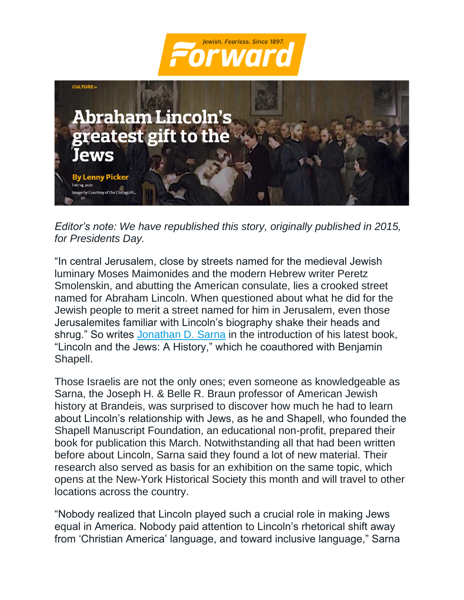



*Editor's note: We have republished this story, originally published in 2015, for Presidents Day.*

"In central Jerusalem, close by streets named for the medieval Jewish luminary Moses Maimonides and the modern Hebrew writer Peretz Smolenskin, and abutting the American consulate, lies a crooked street named for Abraham Lincoln. When questioned about what he did for the Jewish people to merit a street named for him in Jerusalem, even those Jerusalemites familiar with Lincoln's biography shake their heads and shrug." So writes [Jonathan D. Sarna](https://forward.com/schmooze/217289/abraham-lincoln-champion-of-jews-as-americans/) in the introduction of his latest book, "Lincoln and the Jews: A History," which he coauthored with Benjamin Shapell.

Those Israelis are not the only ones; even someone as knowledgeable as Sarna, the Joseph H. & Belle R. Braun professor of American Jewish history at Brandeis, was surprised to discover how much he had to learn about Lincoln's relationship with Jews, as he and Shapell, who founded the Shapell Manuscript Foundation, an educational non-profit, prepared their book for publication this March. Notwithstanding all that had been written before about Lincoln, Sarna said they found a lot of new material. Their research also served as basis for an exhibition on the same topic, which opens at the New-York Historical Society this month and will travel to other locations across the country.

"Nobody realized that Lincoln played such a crucial role in making Jews equal in America. Nobody paid attention to Lincoln's rhetorical shift away from 'Christian America' language, and toward inclusive language," Sarna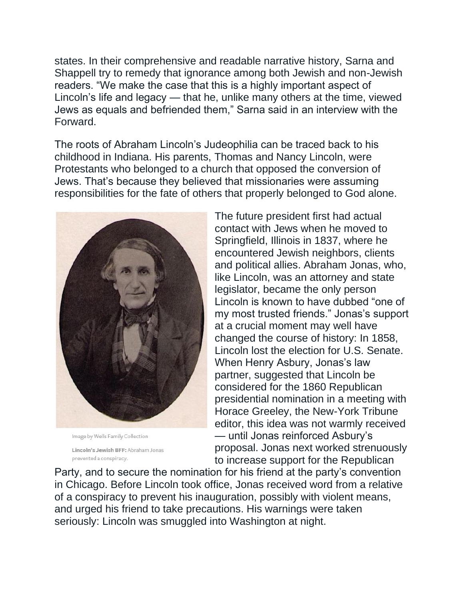states. In their comprehensive and readable narrative history, Sarna and Shappell try to remedy that ignorance among both Jewish and non-Jewish readers. "We make the case that this is a highly important aspect of Lincoln's life and legacy — that he, unlike many others at the time, viewed Jews as equals and befriended them," Sarna said in an interview with the Forward.

The roots of Abraham Lincoln's Judeophilia can be traced back to his childhood in Indiana. His parents, Thomas and Nancy Lincoln, were Protestants who belonged to a church that opposed the conversion of Jews. That's because they believed that missionaries were assuming responsibilities for the fate of others that properly belonged to God alone.



Image by Wells Family Collection Lincoln's Jewish BFF: Abraham Jonas prevented a conspiracy.

The future president first had actual contact with Jews when he moved to Springfield, Illinois in 1837, where he encountered Jewish neighbors, clients and political allies. Abraham Jonas, who, like Lincoln, was an attorney and state legislator, became the only person Lincoln is known to have dubbed "one of my most trusted friends." Jonas's support at a crucial moment may well have changed the course of history: In 1858, Lincoln lost the election for U.S. Senate. When Henry Asbury, Jonas's law partner, suggested that Lincoln be considered for the 1860 Republican presidential nomination in a meeting with Horace Greeley, the New-York Tribune editor, this idea was not warmly received — until Jonas reinforced Asbury's proposal. Jonas next worked strenuously to increase support for the Republican

Party, and to secure the nomination for his friend at the party's convention in Chicago. Before Lincoln took office, Jonas received word from a relative of a conspiracy to prevent his inauguration, possibly with violent means, and urged his friend to take precautions. His warnings were taken seriously: Lincoln was smuggled into Washington at night.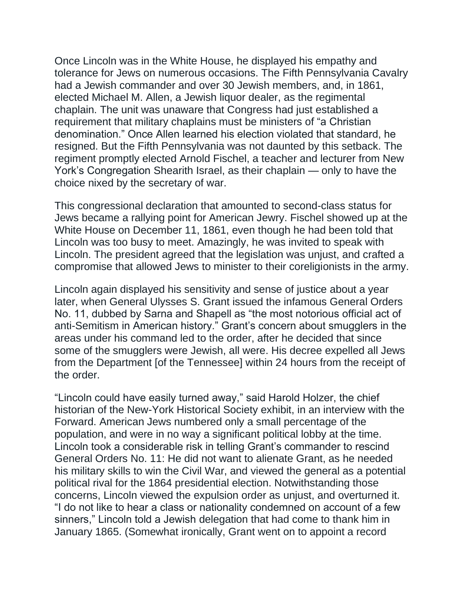Once Lincoln was in the White House, he displayed his empathy and tolerance for Jews on numerous occasions. The Fifth Pennsylvania Cavalry had a Jewish commander and over 30 Jewish members, and, in 1861, elected Michael M. Allen, a Jewish liquor dealer, as the regimental chaplain. The unit was unaware that Congress had just established a requirement that military chaplains must be ministers of "a Christian denomination." Once Allen learned his election violated that standard, he resigned. But the Fifth Pennsylvania was not daunted by this setback. The regiment promptly elected Arnold Fischel, a teacher and lecturer from New York's Congregation Shearith Israel, as their chaplain — only to have the choice nixed by the secretary of war.

This congressional declaration that amounted to second-class status for Jews became a rallying point for American Jewry. Fischel showed up at the White House on December 11, 1861, even though he had been told that Lincoln was too busy to meet. Amazingly, he was invited to speak with Lincoln. The president agreed that the legislation was unjust, and crafted a compromise that allowed Jews to minister to their coreligionists in the army.

Lincoln again displayed his sensitivity and sense of justice about a year later, when General Ulysses S. Grant issued the infamous General Orders No. 11, dubbed by Sarna and Shapell as "the most notorious official act of anti-Semitism in American history." Grant's concern about smugglers in the areas under his command led to the order, after he decided that since some of the smugglers were Jewish, all were. His decree expelled all Jews from the Department [of the Tennessee] within 24 hours from the receipt of the order.

"Lincoln could have easily turned away," said Harold Holzer, the chief historian of the New-York Historical Society exhibit, in an interview with the Forward. American Jews numbered only a small percentage of the population, and were in no way a significant political lobby at the time. Lincoln took a considerable risk in telling Grant's commander to rescind General Orders No. 11: He did not want to alienate Grant, as he needed his military skills to win the Civil War, and viewed the general as a potential political rival for the 1864 presidential election. Notwithstanding those concerns, Lincoln viewed the expulsion order as unjust, and overturned it. "I do not like to hear a class or nationality condemned on account of a few sinners," Lincoln told a Jewish delegation that had come to thank him in January 1865. (Somewhat ironically, Grant went on to appoint a record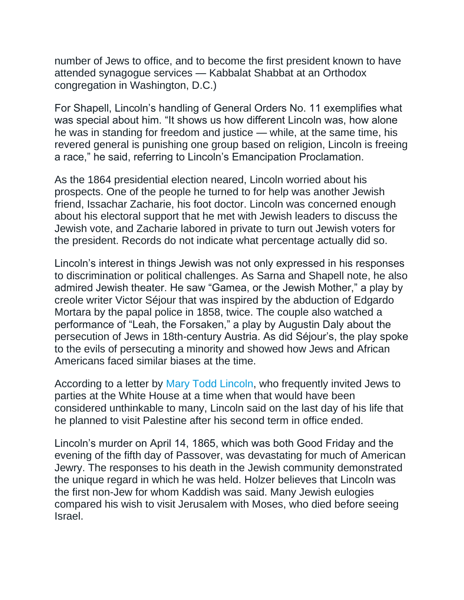number of Jews to office, and to become the first president known to have attended synagogue services — Kabbalat Shabbat at an Orthodox congregation in Washington, D.C.)

For Shapell, Lincoln's handling of General Orders No. 11 exemplifies what was special about him. "It shows us how different Lincoln was, how alone he was in standing for freedom and justice — while, at the same time, his revered general is punishing one group based on religion, Lincoln is freeing a race," he said, referring to Lincoln's Emancipation Proclamation.

As the 1864 presidential election neared, Lincoln worried about his prospects. One of the people he turned to for help was another Jewish friend, Issachar Zacharie, his foot doctor. Lincoln was concerned enough about his electoral support that he met with Jewish leaders to discuss the Jewish vote, and Zacharie labored in private to turn out Jewish voters for the president. Records do not indicate what percentage actually did so.

Lincoln's interest in things Jewish was not only expressed in his responses to discrimination or political challenges. As Sarna and Shapell note, he also admired Jewish theater. He saw "Gamea, or the Jewish Mother," a play by creole writer Victor Séjour that was inspired by the abduction of Edgardo Mortara by the papal police in 1858, twice. The couple also watched a performance of "Leah, the Forsaken," a play by Augustin Daly about the persecution of Jews in 18th-century Austria. As did Séjour's, the play spoke to the evils of persecuting a minority and showed how Jews and African Americans faced similar biases at the time.

According to a letter by [Mary Todd Lincoln,](https://forward.com/sisterhood/214210/is-sara-netanyahu-our-mary-todd-lincoln/) who frequently invited Jews to parties at the White House at a time when that would have been considered unthinkable to many, Lincoln said on the last day of his life that he planned to visit Palestine after his second term in office ended.

Lincoln's murder on April 14, 1865, which was both Good Friday and the evening of the fifth day of Passover, was devastating for much of American Jewry. The responses to his death in the Jewish community demonstrated the unique regard in which he was held. Holzer believes that Lincoln was the first non-Jew for whom Kaddish was said. Many Jewish eulogies compared his wish to visit Jerusalem with Moses, who died before seeing Israel.